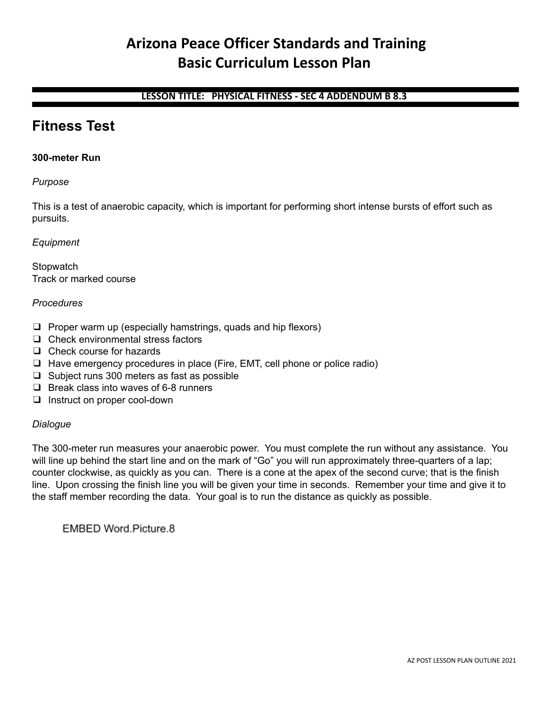# **Arizona Peace Officer Standards and Training Basic Curriculum Lesson Plan**

# **LESSON TITLE: PHYSICAL FITNESS - SEC 4 ADDENDUM B 8.3**

# **Fitness Test**

# **300-meter Run**

# *Purpose*

This is a test of anaerobic capacity, which is important for performing short intense bursts of effort such as pursuits.

# *Equipment*

**Stopwatch** Track or marked course

# *Procedures*

- ❑ Proper warm up (especially hamstrings, quads and hip flexors)
- ❑ Check environmental stress factors
- ❑ Check course for hazards
- ❑ Have emergency procedures in place (Fire, EMT, cell phone or police radio)
- ❑ Subject runs 300 meters as fast as possible
- ❑ Break class into waves of 6-8 runners
- ❑ Instruct on proper cool-down

# *Dialogue*

The 300-meter run measures your anaerobic power. You must complete the run without any assistance. You will line up behind the start line and on the mark of "Go" you will run approximately three-quarters of a lap; counter clockwise, as quickly as you can. There is a cone at the apex of the second curve; that is the finish line. Upon crossing the finish line you will be given your time in seconds. Remember your time and give it to the staff member recording the data. Your goal is to run the distance as quickly as possible.

EMBED Word.Picture.8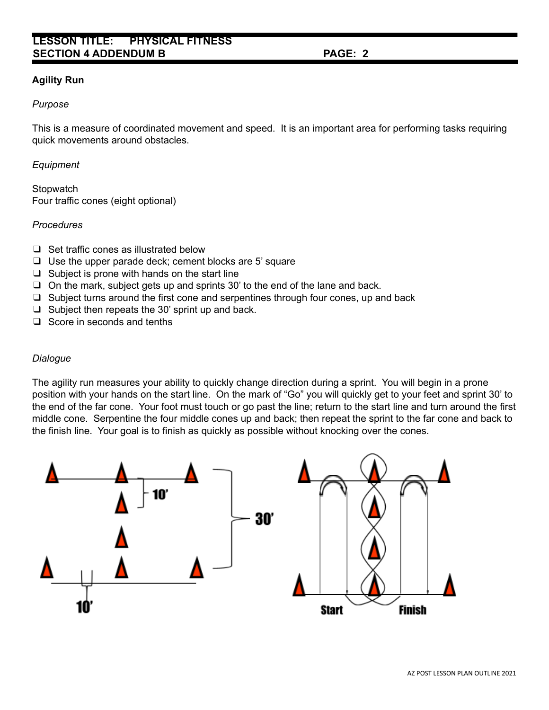# **LESSON TITLE: PHYSICAL FITNESS SECTION 4 ADDENDUM B PAGE: 2**

# **Agility Run**

#### *Purpose*

This is a measure of coordinated movement and speed. It is an important area for performing tasks requiring quick movements around obstacles.

#### *Equipment*

**Stopwatch** Four traffic cones (eight optional)

#### *Procedures*

- ❑ Set traffic cones as illustrated below
- ❑ Use the upper parade deck; cement blocks are 5' square
- $\Box$  Subject is prone with hands on the start line
- ❑ On the mark, subject gets up and sprints 30' to the end of the lane and back.
- ❑ Subject turns around the first cone and serpentines through four cones, up and back
- $\Box$  Subject then repeats the 30' sprint up and back.
- ❑ Score in seconds and tenths

#### *Dialogue*

The agility run measures your ability to quickly change direction during a sprint. You will begin in a prone position with your hands on the start line. On the mark of "Go" you will quickly get to your feet and sprint 30' to the end of the far cone. Your foot must touch or go past the line; return to the start line and turn around the first middle cone. Serpentine the four middle cones up and back; then repeat the sprint to the far cone and back to the finish line. Your goal is to finish as quickly as possible without knocking over the cones.

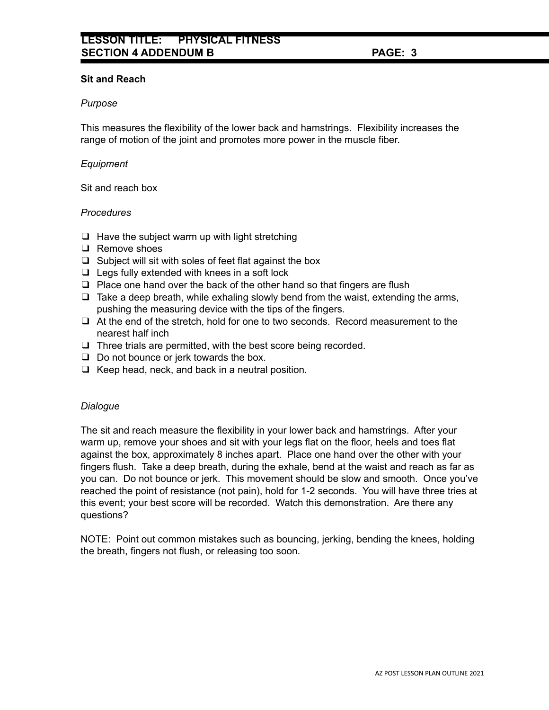# **Sit and Reach**

# *Purpose*

This measures the flexibility of the lower back and hamstrings. Flexibility increases the range of motion of the joint and promotes more power in the muscle fiber.

# *Equipment*

Sit and reach box

# *Procedures*

- $\Box$  Have the subject warm up with light stretching
- ❑ Remove shoes
- $\Box$  Subject will sit with soles of feet flat against the box
- $\Box$  Legs fully extended with knees in a soft lock
- ❑ Place one hand over the back of the other hand so that fingers are flush
- $\Box$  Take a deep breath, while exhaling slowly bend from the waist, extending the arms, pushing the measuring device with the tips of the fingers.
- ❑ At the end of the stretch, hold for one to two seconds. Record measurement to the nearest half inch
- ❑ Three trials are permitted, with the best score being recorded.
- ❑ Do not bounce or jerk towards the box.
- ❑ Keep head, neck, and back in a neutral position.

# *Dialogue*

The sit and reach measure the flexibility in your lower back and hamstrings. After your warm up, remove your shoes and sit with your legs flat on the floor, heels and toes flat against the box, approximately 8 inches apart. Place one hand over the other with your fingers flush. Take a deep breath, during the exhale, bend at the waist and reach as far as you can. Do not bounce or jerk. This movement should be slow and smooth. Once you've reached the point of resistance (not pain), hold for 1-2 seconds. You will have three tries at this event; your best score will be recorded. Watch this demonstration. Are there any questions?

NOTE: Point out common mistakes such as bouncing, jerking, bending the knees, holding the breath, fingers not flush, or releasing too soon.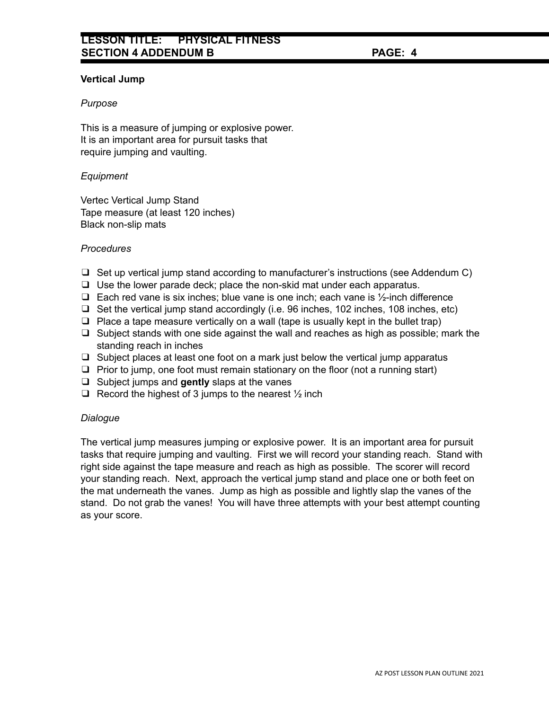# **Vertical Jump**

# *Purpose*

This is a measure of jumping or explosive power. It is an important area for pursuit tasks that require jumping and vaulting.

# *Equipment*

Vertec Vertical Jump Stand Tape measure (at least 120 inches) Black non-slip mats

# *Procedures*

- ❑ Set up vertical jump stand according to manufacturer's instructions (see Addendum C)
- ❑ Use the lower parade deck; place the non-skid mat under each apparatus.
- ❑ Each red vane is six inches; blue vane is one inch; each vane is ½-inch difference
- ❑ Set the vertical jump stand accordingly (i.e. 96 inches, 102 inches, 108 inches, etc)
- ❑ Place a tape measure vertically on a wall (tape is usually kept in the bullet trap)
- ❑ Subject stands with one side against the wall and reaches as high as possible; mark the standing reach in inches
- $\Box$  Subject places at least one foot on a mark just below the vertical jump apparatus
- ❑ Prior to jump, one foot must remain stationary on the floor (not a running start)
- ❑ Subject jumps and **gently** slaps at the vanes
- $\Box$  Record the highest of 3 jumps to the nearest  $\frac{1}{2}$  inch

# *Dialogue*

The vertical jump measures jumping or explosive power. It is an important area for pursuit tasks that require jumping and vaulting. First we will record your standing reach. Stand with right side against the tape measure and reach as high as possible. The scorer will record your standing reach. Next, approach the vertical jump stand and place one or both feet on the mat underneath the vanes. Jump as high as possible and lightly slap the vanes of the stand. Do not grab the vanes! You will have three attempts with your best attempt counting as your score.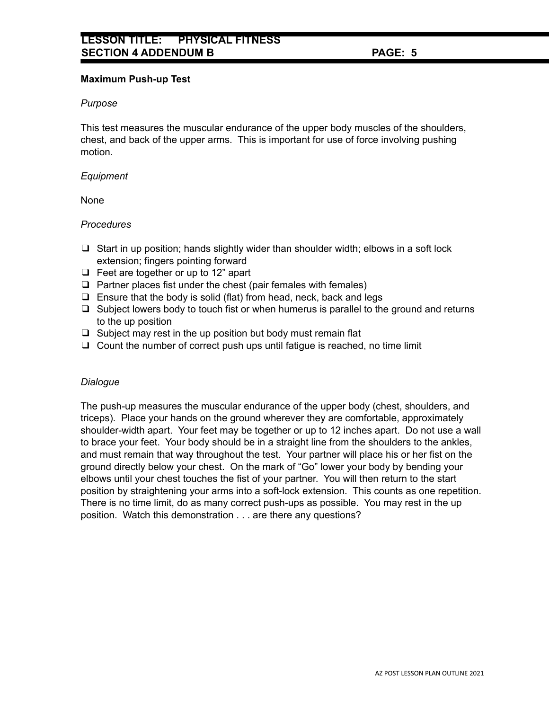# **Maximum Push-up Test**

# *Purpose*

This test measures the muscular endurance of the upper body muscles of the shoulders, chest, and back of the upper arms. This is important for use of force involving pushing motion.

# *Equipment*

None

# *Procedures*

- $\Box$  Start in up position; hands slightly wider than shoulder width; elbows in a soft lock extension; fingers pointing forward
- ❑ Feet are together or up to 12" apart
- ❑ Partner places fist under the chest (pair females with females)
- ❑ Ensure that the body is solid (flat) from head, neck, back and legs
- ❑ Subject lowers body to touch fist or when humerus is parallel to the ground and returns to the up position
- ❑ Subject may rest in the up position but body must remain flat
- ❑ Count the number of correct push ups until fatigue is reached, no time limit

# *Dialogue*

The push-up measures the muscular endurance of the upper body (chest, shoulders, and triceps). Place your hands on the ground wherever they are comfortable, approximately shoulder-width apart. Your feet may be together or up to 12 inches apart. Do not use a wall to brace your feet. Your body should be in a straight line from the shoulders to the ankles, and must remain that way throughout the test. Your partner will place his or her fist on the ground directly below your chest. On the mark of "Go" lower your body by bending your elbows until your chest touches the fist of your partner. You will then return to the start position by straightening your arms into a soft-lock extension. This counts as one repetition. There is no time limit, do as many correct push-ups as possible. You may rest in the up position. Watch this demonstration . . . are there any questions?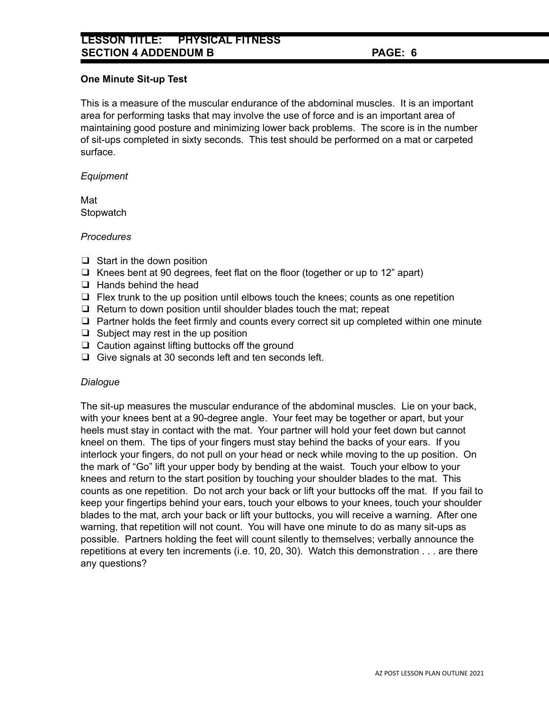# **LESSON TITLE: PHYSICAL FITNESS SECTION 4 ADDENDUM B PAGE: 6**

# **One Minute Sit-up Test**

This is a measure of the muscular endurance of the abdominal muscles. It is an important area for performing tasks that may involve the use of force and is an important area of maintaining good posture and minimizing lower back problems. The score is in the number of sit-ups completed in sixty seconds. This test should be performed on a mat or carpeted surface.

# *Equipment*

Mat **Stopwatch** 

# *Procedures*

- ❑ Start in the down position
- ❑ Knees bent at 90 degrees, feet flat on the floor (together or up to 12" apart)
- ❑ Hands behind the head
- $\Box$  Flex trunk to the up position until elbows touch the knees; counts as one repetition
- ❑ Return to down position until shoulder blades touch the mat; repeat
- ❑ Partner holds the feet firmly and counts every correct sit up completed within one minute
- ❑ Subject may rest in the up position
- ❑ Caution against lifting buttocks off the ground
- ❑ Give signals at 30 seconds left and ten seconds left.

# *Dialogue*

The sit-up measures the muscular endurance of the abdominal muscles. Lie on your back, with your knees bent at a 90-degree angle. Your feet may be together or apart, but your heels must stay in contact with the mat. Your partner will hold your feet down but cannot kneel on them. The tips of your fingers must stay behind the backs of your ears. If you interlock your fingers, do not pull on your head or neck while moving to the up position. On the mark of "Go" lift your upper body by bending at the waist. Touch your elbow to your knees and return to the start position by touching your shoulder blades to the mat. This counts as one repetition. Do not arch your back or lift your buttocks off the mat. If you fail to keep your fingertips behind your ears, touch your elbows to your knees, touch your shoulder blades to the mat, arch your back or lift your buttocks, you will receive a warning. After one warning, that repetition will not count. You will have one minute to do as many sit-ups as possible. Partners holding the feet will count silently to themselves; verbally announce the repetitions at every ten increments (i.e. 10, 20, 30). Watch this demonstration . . . are there any questions?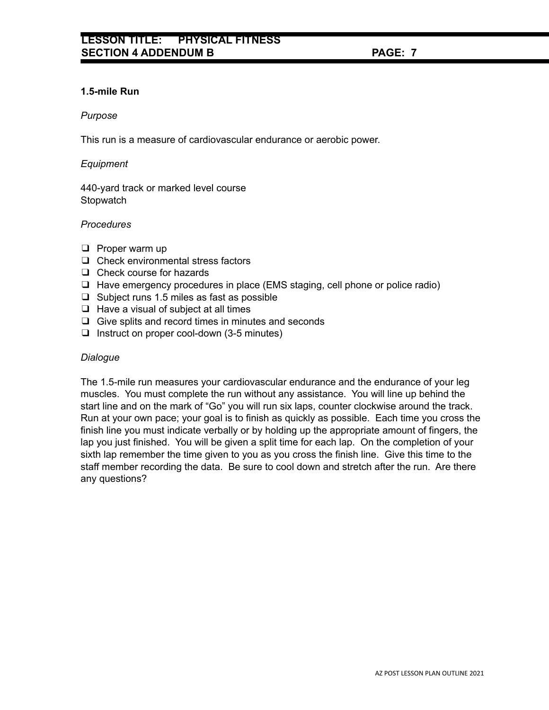# **1.5-mile Run**

#### *Purpose*

This run is a measure of cardiovascular endurance or aerobic power.

# *Equipment*

440-yard track or marked level course **Stopwatch** 

# *Procedures*

- ❑ Proper warm up
- ❑ Check environmental stress factors
- ❑ Check course for hazards
- ❑ Have emergency procedures in place (EMS staging, cell phone or police radio)
- ❑ Subject runs 1.5 miles as fast as possible
- ❑ Have a visual of subject at all times
- ❑ Give splits and record times in minutes and seconds
- ❑ Instruct on proper cool-down (3-5 minutes)

# *Dialogue*

The 1.5-mile run measures your cardiovascular endurance and the endurance of your leg muscles. You must complete the run without any assistance. You will line up behind the start line and on the mark of "Go" you will run six laps, counter clockwise around the track. Run at your own pace; your goal is to finish as quickly as possible. Each time you cross the finish line you must indicate verbally or by holding up the appropriate amount of fingers, the lap you just finished. You will be given a split time for each lap. On the completion of your sixth lap remember the time given to you as you cross the finish line. Give this time to the staff member recording the data. Be sure to cool down and stretch after the run. Are there any questions?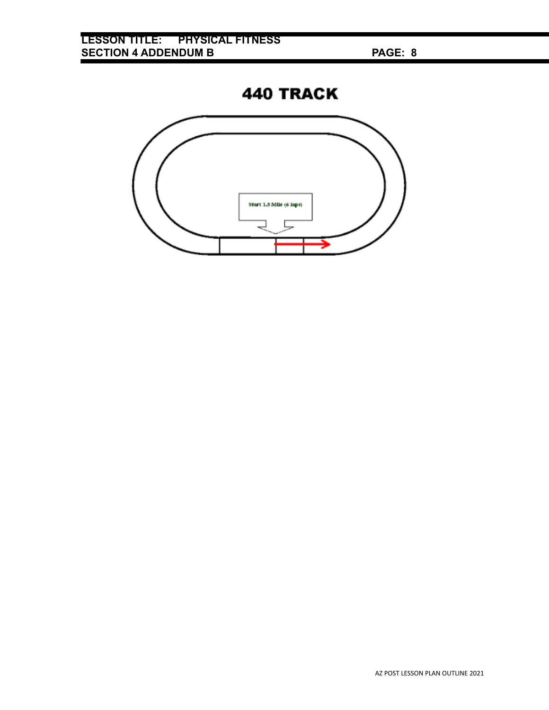**440 TRACK** 

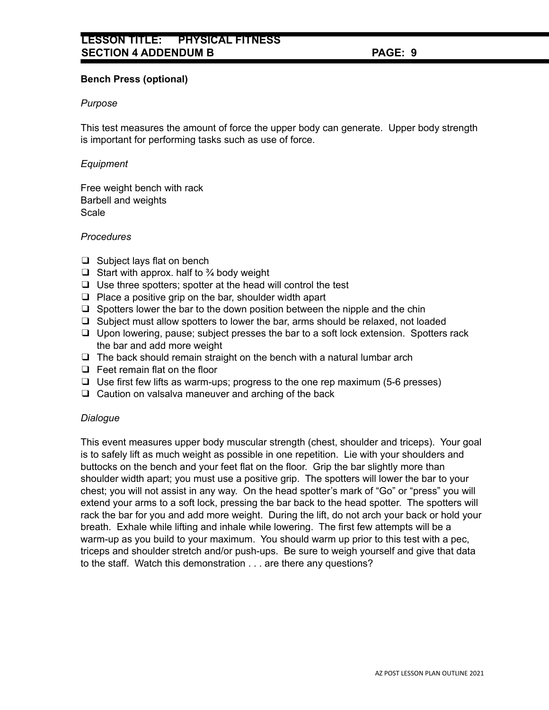# **Bench Press (optional)**

# *Purpose*

This test measures the amount of force the upper body can generate. Upper body strength is important for performing tasks such as use of force.

# *Equipment*

Free weight bench with rack Barbell and weights **Scale** 

# *Procedures*

- ❑ Subject lays flat on bench
- $\Box$  Start with approx. half to  $\frac{3}{4}$  body weight
- ❑ Use three spotters; spotter at the head will control the test
- ❑ Place a positive grip on the bar, shoulder width apart
- $\Box$  Spotters lower the bar to the down position between the nipple and the chin
- ❑ Subject must allow spotters to lower the bar, arms should be relaxed, not loaded
- ❑ Upon lowering, pause; subject presses the bar to a soft lock extension. Spotters rack the bar and add more weight
- $\Box$  The back should remain straight on the bench with a natural lumbar arch
- ❑ Feet remain flat on the floor
- ❑ Use first few lifts as warm-ups; progress to the one rep maximum (5-6 presses)
- ❑ Caution on valsalva maneuver and arching of the back

# *Dialogue*

This event measures upper body muscular strength (chest, shoulder and triceps). Your goal is to safely lift as much weight as possible in one repetition. Lie with your shoulders and buttocks on the bench and your feet flat on the floor. Grip the bar slightly more than shoulder width apart; you must use a positive grip. The spotters will lower the bar to your chest; you will not assist in any way. On the head spotter's mark of "Go" or "press" you will extend your arms to a soft lock, pressing the bar back to the head spotter. The spotters will rack the bar for you and add more weight. During the lift, do not arch your back or hold your breath. Exhale while lifting and inhale while lowering. The first few attempts will be a warm-up as you build to your maximum. You should warm up prior to this test with a pec, triceps and shoulder stretch and/or push-ups. Be sure to weigh yourself and give that data to the staff. Watch this demonstration . . . are there any questions?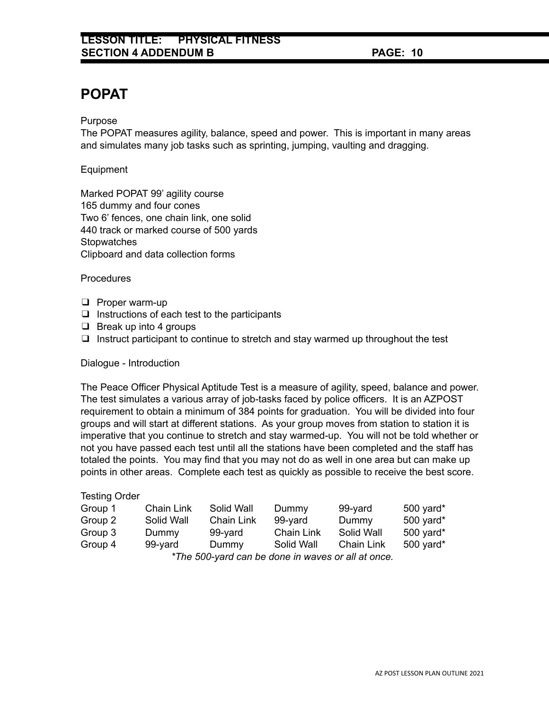# **POPAT**

Purpose

The POPAT measures agility, balance, speed and power. This is important in many areas and simulates many job tasks such as sprinting, jumping, vaulting and dragging.

Equipment

Marked POPAT 99' agility course 165 dummy and four cones Two 6' fences, one chain link, one solid 440 track or marked course of 500 yards **Stopwatches** Clipboard and data collection forms

**Procedures** 

- ❑ Proper warm-up
- $\Box$  Instructions of each test to the participants
- ❑ Break up into 4 groups
- ❑ Instruct participant to continue to stretch and stay warmed up throughout the test

Dialogue - Introduction

The Peace Officer Physical Aptitude Test is a measure of agility, speed, balance and power. The test simulates a various array of job-tasks faced by police officers. It is an AZPOST requirement to obtain a minimum of 384 points for graduation. You will be divided into four groups and will start at different stations. As your group moves from station to station it is imperative that you continue to stretch and stay warmed-up. You will not be told whether or not you have passed each test until all the stations have been completed and the staff has totaled the points. You may find that you may not do as well in one area but can make up points in other areas. Complete each test as quickly as possible to receive the best score.

# Testing Order

| Group 1 | Chain Link | Solid Wall        | Dummy             | 99-yard                                            | 500 yard* |
|---------|------------|-------------------|-------------------|----------------------------------------------------|-----------|
| Group 2 | Solid Wall | <b>Chain Link</b> | 99-yard           | Dummy                                              | 500 yard* |
| Group 3 | Dummy      | 99-vard           | <b>Chain Link</b> | Solid Wall                                         | 500 yard* |
| Group 4 | 99-yard    | Dummy             | Solid Wall        | <b>Chain Link</b>                                  | 500 yard* |
|         |            |                   |                   | *The 500-yard can be done in waves or all at once. |           |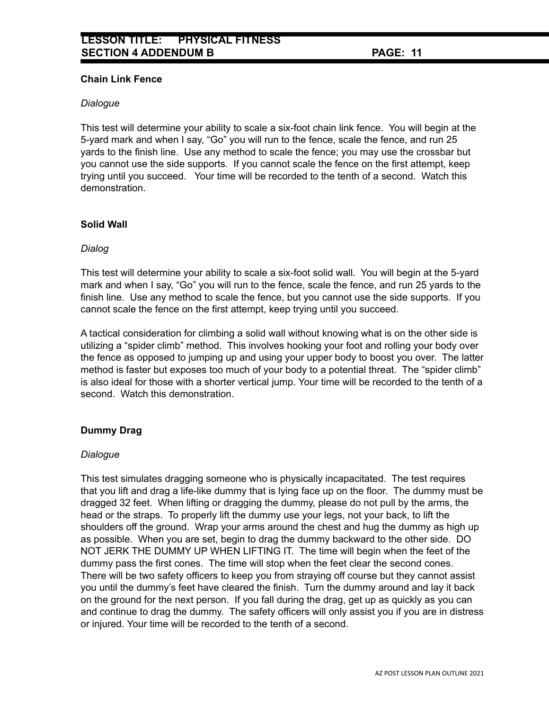# **Chain Link Fence**

# *Dialogue*

This test will determine your ability to scale a six-foot chain link fence. You will begin at the 5-yard mark and when I say, "Go" you will run to the fence, scale the fence, and run 25 yards to the finish line. Use any method to scale the fence; you may use the crossbar but you cannot use the side supports. If you cannot scale the fence on the first attempt, keep trying until you succeed. Your time will be recorded to the tenth of a second. Watch this demonstration.

# **Solid Wall**

# *Dialog*

This test will determine your ability to scale a six-foot solid wall. You will begin at the 5-yard mark and when I say, "Go" you will run to the fence, scale the fence, and run 25 yards to the finish line. Use any method to scale the fence, but you cannot use the side supports. If you cannot scale the fence on the first attempt, keep trying until you succeed.

A tactical consideration for climbing a solid wall without knowing what is on the other side is utilizing a "spider climb" method. This involves hooking your foot and rolling your body over the fence as opposed to jumping up and using your upper body to boost you over. The latter method is faster but exposes too much of your body to a potential threat. The "spider climb" is also ideal for those with a shorter vertical jump. Your time will be recorded to the tenth of a second. Watch this demonstration.

# **Dummy Drag**

# *Dialogue*

This test simulates dragging someone who is physically incapacitated. The test requires that you lift and drag a life-like dummy that is lying face up on the floor. The dummy must be dragged 32 feet. When lifting or dragging the dummy, please do not pull by the arms, the head or the straps. To properly lift the dummy use your legs, not your back, to lift the shoulders off the ground. Wrap your arms around the chest and hug the dummy as high up as possible. When you are set, begin to drag the dummy backward to the other side. DO NOT JERK THE DUMMY UP WHEN LIFTING IT. The time will begin when the feet of the dummy pass the first cones. The time will stop when the feet clear the second cones. There will be two safety officers to keep you from straying off course but they cannot assist you until the dummy's feet have cleared the finish. Turn the dummy around and lay it back on the ground for the next person. If you fall during the drag, get up as quickly as you can and continue to drag the dummy. The safety officers will only assist you if you are in distress or injured. Your time will be recorded to the tenth of a second.